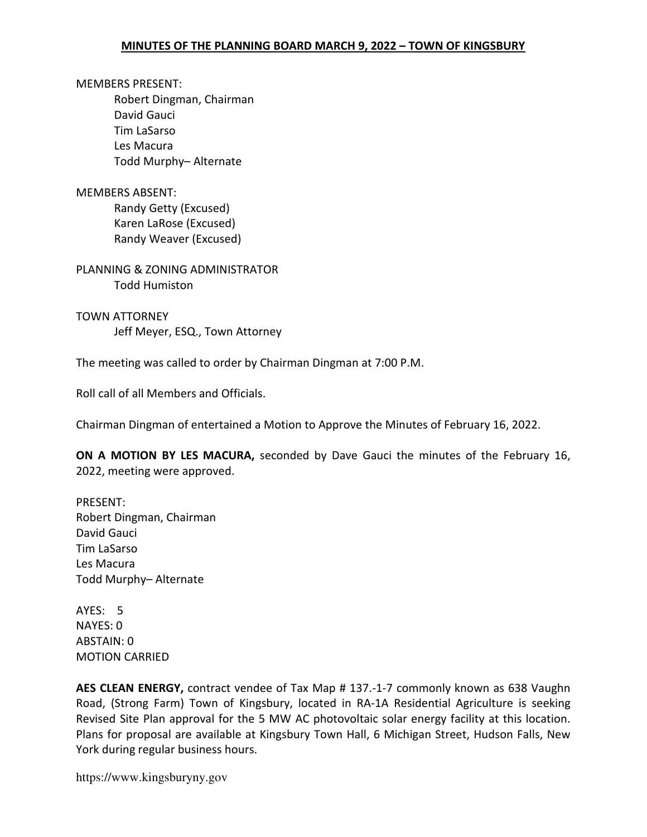MEMBERS PRESENT: Robert Dingman, Chairman David Gauci Tim LaSarso Les Macura Todd Murphy– Alternate

MEMBERS ABSENT: Randy Getty (Excused) Karen LaRose (Excused) Randy Weaver (Excused)

PLANNING & ZONING ADMINISTRATOR Todd Humiston

TOWN ATTORNEY Jeff Meyer, ESQ., Town Attorney

The meeting was called to order by Chairman Dingman at 7:00 P.M.

Roll call of all Members and Officials.

Chairman Dingman of entertained a Motion to Approve the Minutes of February 16, 2022.

ON A MOTION BY LES MACURA, seconded by Dave Gauci the minutes of the February 16, 2022, meeting were approved.

PRESENT: Robert Dingman, Chairman David Gauci Tim LaSarso Les Macura Todd Murphy– Alternate

AYES: 5 NAYES: 0 ABSTAIN: 0 MOTION CARRIED

AES CLEAN ENERGY, contract vendee of Tax Map # 137.-1-7 commonly known as 638 Vaughn Road, (Strong Farm) Town of Kingsbury, located in RA-1A Residential Agriculture is seeking Revised Site Plan approval for the 5 MW AC photovoltaic solar energy facility at this location. Plans for proposal are available at Kingsbury Town Hall, 6 Michigan Street, Hudson Falls, New York during regular business hours.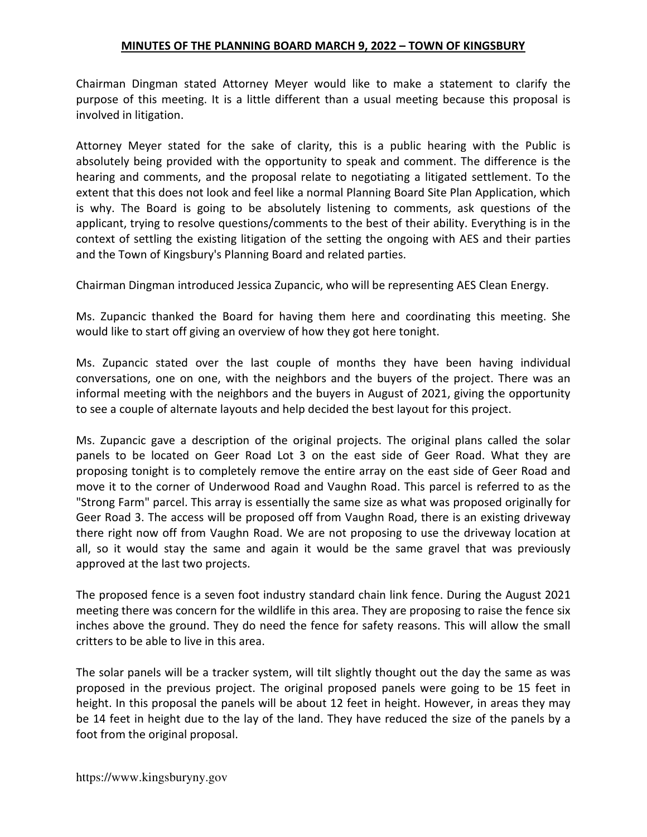Chairman Dingman stated Attorney Meyer would like to make a statement to clarify the purpose of this meeting. It is a little different than a usual meeting because this proposal is involved in litigation.

Attorney Meyer stated for the sake of clarity, this is a public hearing with the Public is absolutely being provided with the opportunity to speak and comment. The difference is the hearing and comments, and the proposal relate to negotiating a litigated settlement. To the extent that this does not look and feel like a normal Planning Board Site Plan Application, which is why. The Board is going to be absolutely listening to comments, ask questions of the applicant, trying to resolve questions/comments to the best of their ability. Everything is in the context of settling the existing litigation of the setting the ongoing with AES and their parties and the Town of Kingsbury's Planning Board and related parties.

Chairman Dingman introduced Jessica Zupancic, who will be representing AES Clean Energy.

Ms. Zupancic thanked the Board for having them here and coordinating this meeting. She would like to start off giving an overview of how they got here tonight.

Ms. Zupancic stated over the last couple of months they have been having individual conversations, one on one, with the neighbors and the buyers of the project. There was an informal meeting with the neighbors and the buyers in August of 2021, giving the opportunity to see a couple of alternate layouts and help decided the best layout for this project.

Ms. Zupancic gave a description of the original projects. The original plans called the solar panels to be located on Geer Road Lot 3 on the east side of Geer Road. What they are proposing tonight is to completely remove the entire array on the east side of Geer Road and move it to the corner of Underwood Road and Vaughn Road. This parcel is referred to as the "Strong Farm" parcel. This array is essentially the same size as what was proposed originally for Geer Road 3. The access will be proposed off from Vaughn Road, there is an existing driveway there right now off from Vaughn Road. We are not proposing to use the driveway location at all, so it would stay the same and again it would be the same gravel that was previously approved at the last two projects.

The proposed fence is a seven foot industry standard chain link fence. During the August 2021 meeting there was concern for the wildlife in this area. They are proposing to raise the fence six inches above the ground. They do need the fence for safety reasons. This will allow the small critters to be able to live in this area.

The solar panels will be a tracker system, will tilt slightly thought out the day the same as was proposed in the previous project. The original proposed panels were going to be 15 feet in height. In this proposal the panels will be about 12 feet in height. However, in areas they may be 14 feet in height due to the lay of the land. They have reduced the size of the panels by a foot from the original proposal.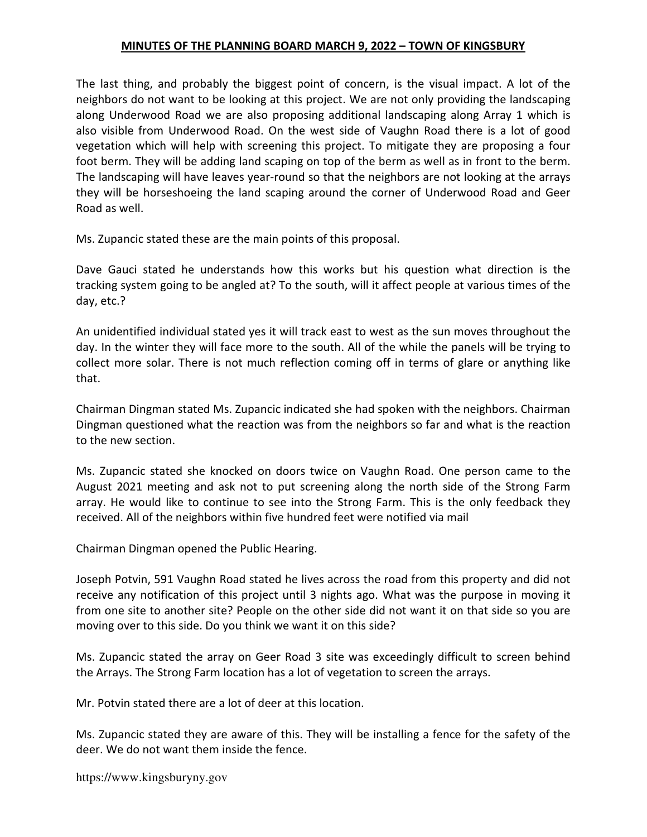The last thing, and probably the biggest point of concern, is the visual impact. A lot of the neighbors do not want to be looking at this project. We are not only providing the landscaping along Underwood Road we are also proposing additional landscaping along Array 1 which is also visible from Underwood Road. On the west side of Vaughn Road there is a lot of good vegetation which will help with screening this project. To mitigate they are proposing a four foot berm. They will be adding land scaping on top of the berm as well as in front to the berm. The landscaping will have leaves year-round so that the neighbors are not looking at the arrays they will be horseshoeing the land scaping around the corner of Underwood Road and Geer Road as well.

Ms. Zupancic stated these are the main points of this proposal.

Dave Gauci stated he understands how this works but his question what direction is the tracking system going to be angled at? To the south, will it affect people at various times of the day, etc.?

An unidentified individual stated yes it will track east to west as the sun moves throughout the day. In the winter they will face more to the south. All of the while the panels will be trying to collect more solar. There is not much reflection coming off in terms of glare or anything like that.

Chairman Dingman stated Ms. Zupancic indicated she had spoken with the neighbors. Chairman Dingman questioned what the reaction was from the neighbors so far and what is the reaction to the new section.

Ms. Zupancic stated she knocked on doors twice on Vaughn Road. One person came to the August 2021 meeting and ask not to put screening along the north side of the Strong Farm array. He would like to continue to see into the Strong Farm. This is the only feedback they received. All of the neighbors within five hundred feet were notified via mail

Chairman Dingman opened the Public Hearing.

Joseph Potvin, 591 Vaughn Road stated he lives across the road from this property and did not receive any notification of this project until 3 nights ago. What was the purpose in moving it from one site to another site? People on the other side did not want it on that side so you are moving over to this side. Do you think we want it on this side?

Ms. Zupancic stated the array on Geer Road 3 site was exceedingly difficult to screen behind the Arrays. The Strong Farm location has a lot of vegetation to screen the arrays.

Mr. Potvin stated there are a lot of deer at this location.

Ms. Zupancic stated they are aware of this. They will be installing a fence for the safety of the deer. We do not want them inside the fence.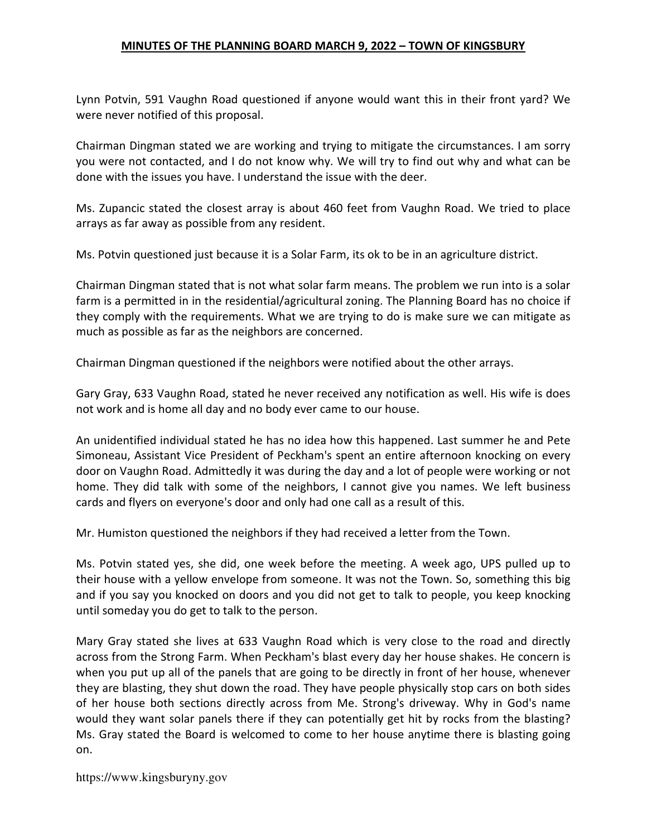Lynn Potvin, 591 Vaughn Road questioned if anyone would want this in their front yard? We were never notified of this proposal.

Chairman Dingman stated we are working and trying to mitigate the circumstances. I am sorry you were not contacted, and I do not know why. We will try to find out why and what can be done with the issues you have. I understand the issue with the deer.

Ms. Zupancic stated the closest array is about 460 feet from Vaughn Road. We tried to place arrays as far away as possible from any resident.

Ms. Potvin questioned just because it is a Solar Farm, its ok to be in an agriculture district.

Chairman Dingman stated that is not what solar farm means. The problem we run into is a solar farm is a permitted in in the residential/agricultural zoning. The Planning Board has no choice if they comply with the requirements. What we are trying to do is make sure we can mitigate as much as possible as far as the neighbors are concerned.

Chairman Dingman questioned if the neighbors were notified about the other arrays.

Gary Gray, 633 Vaughn Road, stated he never received any notification as well. His wife is does not work and is home all day and no body ever came to our house.

An unidentified individual stated he has no idea how this happened. Last summer he and Pete Simoneau, Assistant Vice President of Peckham's spent an entire afternoon knocking on every door on Vaughn Road. Admittedly it was during the day and a lot of people were working or not home. They did talk with some of the neighbors, I cannot give you names. We left business cards and flyers on everyone's door and only had one call as a result of this.

Mr. Humiston questioned the neighbors if they had received a letter from the Town.

Ms. Potvin stated yes, she did, one week before the meeting. A week ago, UPS pulled up to their house with a yellow envelope from someone. It was not the Town. So, something this big and if you say you knocked on doors and you did not get to talk to people, you keep knocking until someday you do get to talk to the person.

Mary Gray stated she lives at 633 Vaughn Road which is very close to the road and directly across from the Strong Farm. When Peckham's blast every day her house shakes. He concern is when you put up all of the panels that are going to be directly in front of her house, whenever they are blasting, they shut down the road. They have people physically stop cars on both sides of her house both sections directly across from Me. Strong's driveway. Why in God's name would they want solar panels there if they can potentially get hit by rocks from the blasting? Ms. Gray stated the Board is welcomed to come to her house anytime there is blasting going on.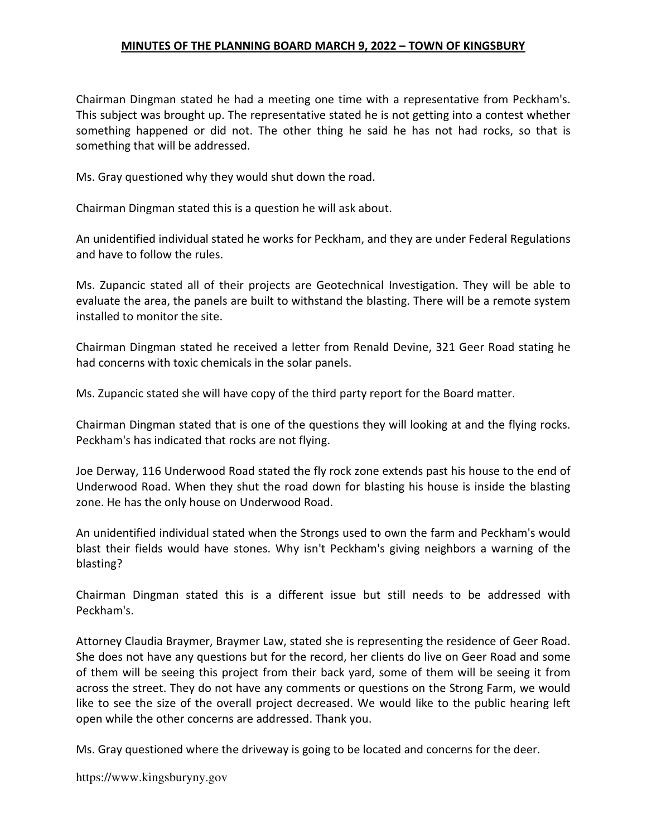Chairman Dingman stated he had a meeting one time with a representative from Peckham's. This subject was brought up. The representative stated he is not getting into a contest whether something happened or did not. The other thing he said he has not had rocks, so that is something that will be addressed.

Ms. Gray questioned why they would shut down the road.

Chairman Dingman stated this is a question he will ask about.

An unidentified individual stated he works for Peckham, and they are under Federal Regulations and have to follow the rules.

Ms. Zupancic stated all of their projects are Geotechnical Investigation. They will be able to evaluate the area, the panels are built to withstand the blasting. There will be a remote system installed to monitor the site.

Chairman Dingman stated he received a letter from Renald Devine, 321 Geer Road stating he had concerns with toxic chemicals in the solar panels.

Ms. Zupancic stated she will have copy of the third party report for the Board matter.

Chairman Dingman stated that is one of the questions they will looking at and the flying rocks. Peckham's has indicated that rocks are not flying.

Joe Derway, 116 Underwood Road stated the fly rock zone extends past his house to the end of Underwood Road. When they shut the road down for blasting his house is inside the blasting zone. He has the only house on Underwood Road.

An unidentified individual stated when the Strongs used to own the farm and Peckham's would blast their fields would have stones. Why isn't Peckham's giving neighbors a warning of the blasting?

Chairman Dingman stated this is a different issue but still needs to be addressed with Peckham's.

Attorney Claudia Braymer, Braymer Law, stated she is representing the residence of Geer Road. She does not have any questions but for the record, her clients do live on Geer Road and some of them will be seeing this project from their back yard, some of them will be seeing it from across the street. They do not have any comments or questions on the Strong Farm, we would like to see the size of the overall project decreased. We would like to the public hearing left open while the other concerns are addressed. Thank you.

Ms. Gray questioned where the driveway is going to be located and concerns for the deer.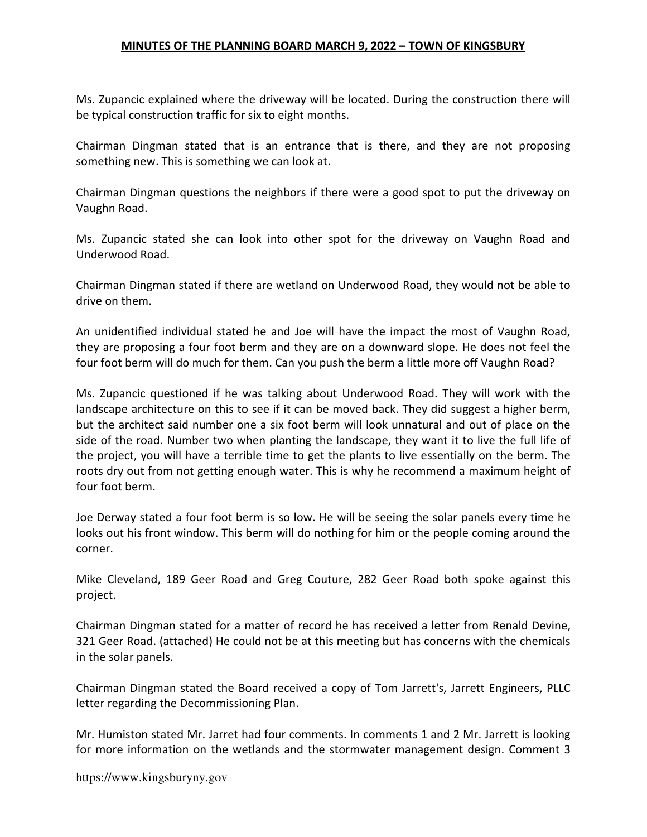Ms. Zupancic explained where the driveway will be located. During the construction there will be typical construction traffic for six to eight months.

Chairman Dingman stated that is an entrance that is there, and they are not proposing something new. This is something we can look at.

Chairman Dingman questions the neighbors if there were a good spot to put the driveway on Vaughn Road.

Ms. Zupancic stated she can look into other spot for the driveway on Vaughn Road and Underwood Road.

Chairman Dingman stated if there are wetland on Underwood Road, they would not be able to drive on them.

An unidentified individual stated he and Joe will have the impact the most of Vaughn Road, they are proposing a four foot berm and they are on a downward slope. He does not feel the four foot berm will do much for them. Can you push the berm a little more off Vaughn Road?

Ms. Zupancic questioned if he was talking about Underwood Road. They will work with the landscape architecture on this to see if it can be moved back. They did suggest a higher berm, but the architect said number one a six foot berm will look unnatural and out of place on the side of the road. Number two when planting the landscape, they want it to live the full life of the project, you will have a terrible time to get the plants to live essentially on the berm. The roots dry out from not getting enough water. This is why he recommend a maximum height of four foot berm.

Joe Derway stated a four foot berm is so low. He will be seeing the solar panels every time he looks out his front window. This berm will do nothing for him or the people coming around the corner.

Mike Cleveland, 189 Geer Road and Greg Couture, 282 Geer Road both spoke against this project.

Chairman Dingman stated for a matter of record he has received a letter from Renald Devine, 321 Geer Road. (attached) He could not be at this meeting but has concerns with the chemicals in the solar panels.

Chairman Dingman stated the Board received a copy of Tom Jarrett's, Jarrett Engineers, PLLC letter regarding the Decommissioning Plan.

Mr. Humiston stated Mr. Jarret had four comments. In comments 1 and 2 Mr. Jarrett is looking for more information on the wetlands and the stormwater management design. Comment 3